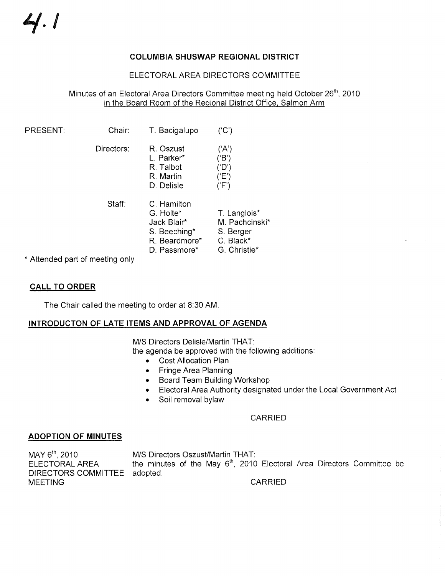# COLUMBIA SHUSWAP REGIONAL DISTRICT

# ELECTORAL AREA DIRECTORS COMMITTEE

# Minutes of an Electoral Area Directors Committee meeting held October 26<sup>th</sup>, 2010 in the Board Room of the Regional District Office, Salmon Arm

| PRESENT: | Chair:     | T. Bacigalupo                                                                            | ('C')                                                                    |
|----------|------------|------------------------------------------------------------------------------------------|--------------------------------------------------------------------------|
|          | Directors: | R. Oszust<br>L. Parker*<br>R. Talbot<br>R. Martin<br>D. Delisle                          | ( A')<br>(B')<br>$($ 'D' $)$<br>(FE')<br>('F')                           |
|          | Staff:     | C. Hamilton<br>G. Holte*<br>Jack Blair*<br>S. Beeching*<br>R. Beardmore*<br>D. Passmore* | T. Langlois*<br>M. Pachcinski*<br>S. Berger<br>C. Black*<br>G. Christie* |

\* Attended part of meeting only

# CALL TO ORDER

The Chair called the meeting to order at 8:30 AM.

### INTRODUCTON OF LATE ITEMS AND APPROVAL OF AGENDA

M/S Directors Delisle/Martin THAT:

the agenda be approved with the following additions:

- . Cost Allocation Plan
- . Fringe Area Planning
- . Board Team Building Workshop
- . Electoral Area Authority designated under the Local Government Act
- . Soil removal bylaw

### CARRIED

### ADOPTION OF MINUTES

MAY  $6<sup>th</sup>$ , 2010 M/S Directors Oszust/Martin THAT:<br>ELECTORAL AREA the minutes of the May  $6<sup>th</sup>$ , 2010 the minutes of the May  $6<sup>th</sup>$ , 2010 Electoral Area Directors Committee be DIRECTORS COMMITTEE adopted. MEETING CARRIED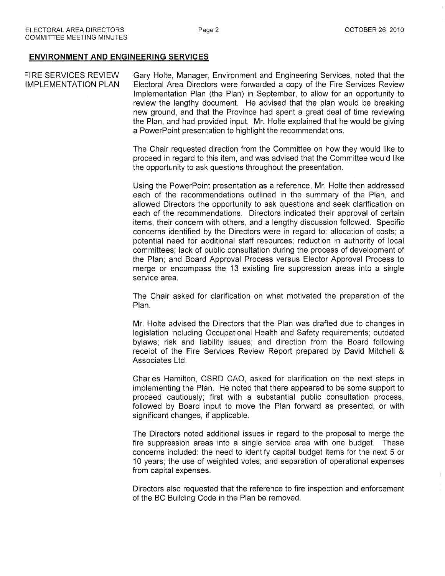# ENVIRONMENT AND ENGINEERING SERVICES

FIRE SERVICES REVIEW IMPLEMENTATION PLAN Gary Holte, Manager, Environment and Engineering Services, noted that the Electoral Area Directors were forwarded a copy of the Fire Services Review lmplementation Plan (the Plan) in September, to allow for an opportunity to review the lengthy document. He advised that the plan would be breaking new ground, and that the Province had spent a great deal of time reviewing the Plan, and had provided input. Mr. Holte explained that he would be giving a PowerPoint presentation to highlight the recommendations.

> The Chair requested direction from the Committee on how they would like to proceed in regard to this item, and was advised that the Committee would like the opportunity to ask questions throughout the presentation.

> Using the PowerPoint presentation as a reference, Mr. Holte then addressed each of the recommendations outlined in the summary of the Plan, and allowed Directors the opportunity to ask questions and seek clarification on each of the recommendations. Directors indicated their approval of certain items, their concern with others, and a lengthy discussion followed. Specific concerns identified by the Directors were in regard to: allocation of costs; a potential need for additional staff resources; reduction in authority of local committees; lack of public consultation during the process of development of the Plan; and Board Approval Process versus Elector Approval Process to merge or encompass the 13 existing fire suppression areas into a single service area.

> The Chair asked for clarification on what motivated the preparation of the Plan.

> Mr. Holte advised the Directors that the Plan was drafted due to changes in legislation including Occupational Health and Safety requirements; outdated bylaws; risk and liability issues; and direction from the Board following receipt of the Fire Services Review Report prepared by David Mitchell & Associates Ltd.

> Charles Hamilton, CSRD CAO, asked for clarification on the next steps in implementing the Plan. He noted that there appeared to þe some support to proceed cautiously; first with a substantial public consultation process, followed by Board input to move the Plan forward as presented, or with significant changes, if applicable.

> The Directors noted additional issues in regard to the proposal to merge the fire suppression areas into a single service area with one budget. These concerns included: the need to identify capital budget items for the next 5 or 10 years; the use of weighted votes; and separation of operational expenses from capital expenses.

> Directors also requested that the reference to fire inspection and enforcement of the BC Building Code in the Plan þe removed.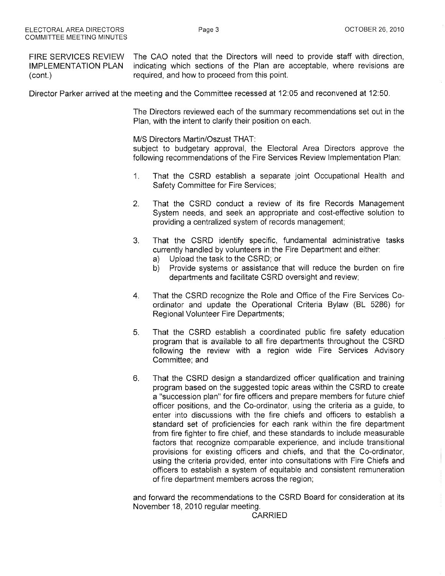|                            | FIRE SERVICES REVIEW The CAO noted that the Directors will need to provide staff with direction, |
|----------------------------|--------------------------------------------------------------------------------------------------|
| <b>IMPLEMENTATION PLAN</b> | indicating which sections of the Plan are acceptable, where revisions are                        |
| (cont.)                    | required, and how to proceed from this point.                                                    |

Director Parker arrived at the meeting and the Committee recessed at 12:05 and reconvened at 12:50.

The Directors reviewed each of the summary recommendations set out in the Plan, with the intent to clarify their position on each.

M/S Directors Martin/Oszust THAT:

subject to budgetary approval, the Electoral Area Directors approve the following recommendations of the Fire Services Review lmplementation Plan:

- 1. That the CSRD establish a separate joint Occupational Health and Safety Committee for Fire Services;
- 2. That the CSRD conduct a review of its fire Records Management System needs, and seek an appropriate and cost-effective solution to providing a centralized system of records management;
- 3. That the CSRD identify specific, fundamental administrative tasks currently handled by volunteers in the Fire Department and either:
	-
	- a) Upload the task to the CSRD; or<br>b) Provide systems or assistance that will reduce the burden on fire departments and facilitate CSRD oversight and review;
- 4. That the CSRD recognize the Role and Office of the Fire Services Coordinator and update the Operational Criteria Bylaw (BL 5286) for Regional Volunteer Fire Departments;
- 5. That the CSRD establish a coordinated public fire safety education program that is available to all fire departments throughout the CSRD following the review with a region wide Fire Services Advisory Committee: and
- 6. That the CSRD design a standardized officer qualification and training program based on the suggested topic areas within the CSRD to create a "succession plan" for fire officers and prepare members for future chief officer positions, and the Co-ordinator, using the criteria as a guide, to enter into discussions with the fire chiefs and officers to establish <sup>a</sup> standard set of proficiencies for each rank within the fire department from fire fighter to fire chief, and these standards to include measurable factors that recognize comparable experience, and include transitional provisions for existing officers and chiefs, and that the Co-ordinator, using the criteria provided, enter into consultations with Fire Chiefs and officers to establish a system of equitable and consistent remuneration of fire department members across the region;

and forward the recommendations to the CSRD Board for consideration at its Novemþer 18,2010 regular meeting.

CARRIED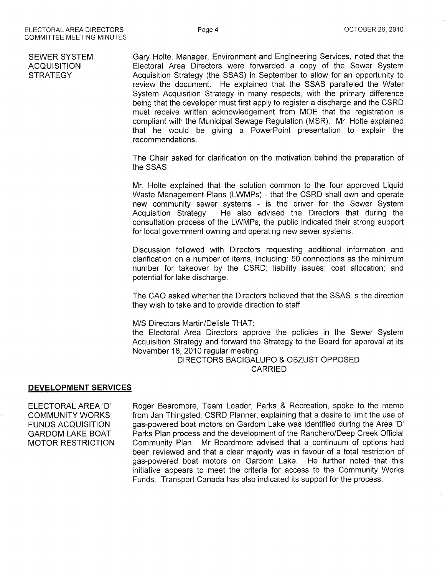| SEWER SYSTEM<br>ACQUISITION<br>STRATEGY | Gary Holte, Manager, Environment and Engineering Services, noted that the<br>Electoral Area Directors were forwarded a copy of the Sewer System<br>Acquisition Strategy (the SSAS) in September to allow for an opportunity to |
|-----------------------------------------|--------------------------------------------------------------------------------------------------------------------------------------------------------------------------------------------------------------------------------|
|                                         |                                                                                                                                                                                                                                |
|                                         | review the document. He explained that the SSAS paralleled the Water                                                                                                                                                           |
|                                         | System Acquisition Strategy in many respects, with the primary difference                                                                                                                                                      |
|                                         | being that the developer must first apply to register a discharge and the CSRD                                                                                                                                                 |
|                                         | must receive written acknowledgement from MOE that the registration is                                                                                                                                                         |
|                                         | compliant with the Municipal Sewage Regulation (MSR). Mr. Holte explained                                                                                                                                                      |
|                                         | that he would be giving a PowerPoint presentation to explain the                                                                                                                                                               |

recommendations.

The Chair asked for clarification on the motivation behind the preparation of the SSAS.

Mr. Holte explained that the solution common to the four approved Liquid Waste Management Plans (LWMPs) - that the CSRD shall own and operate new community sewer systems - is the driver for the Sewer System Acquisition Strategy. He also advised the Directors that during the consultation process of the LWMPS, the public indicated their strong support for local government owning and operating new sewer systems.

Discussion followed with Directors requesting additional information and clarification on a number of items, including: 50 connections as the minimum numþer for takeover by the CSRD; liability issues; cost allocation; and potential for lake discharge.

The CAO asked whether the Directors believed that the SSAS is the direction they wish to take and to provide direction to staff,

M/S Directors Martin/Delisle THAT:

the Electoral Area Directors approve the policies in the Sewer System Acquisition Strategy and forward the Strategy to the Board for approval at its November 18,2010 regular meeting.

> DIRECTORS BACIGALUPO & OSZUST OPPOSED CARRIED

### DEVELOPMENT SERVICES

ELECTORAL AREA'D' Roger Beardmore, Team Leader, Parks & Recreation, spoke to the memo COMMUNITY WORKS from Jan Thingsted, CSRD Planner, explaining that a desire to limit the use of FUNDS ACQUISITION gas-powered boat motors on Gardom Lake was identified during the Area 'D' gas-powered boat motors on Gardom Lake was identified during the Area 'D' GARDOM LAKE BOAT Parks Plan process and the development of the Ranchero/Deep Creek Official<br>MOTOR RESTRICTION Community Plan. Mr Beardmore advised that a continuum of options had Community Plan. Mr Beardmore advised that a continuum of options had been reviewed and that a clear majority was in favour of a total restriction of gas-powered boat motors on Gardom Lake, He further noted that this initiative appears to meet the criteria for access to the Community Works Funds. Transport Canada has also indicated its support for the process.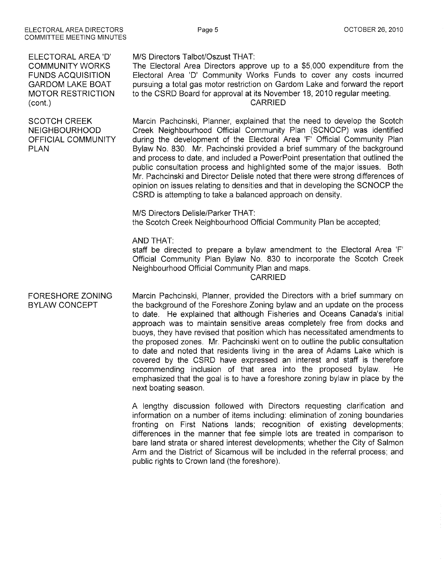ELECTORAL AREA'D' COMMUNITY WORKS FUNDS ACQUISITION GARDOM LAKE BOAT MOTOR RESTRICTION (cont.)

SCOTCH CREEK NEIGHBOURHOOD OFFICIAL COMMUNITY PLAN

#### M/S Directors Talbot/Oszust THAT:

The Electoral Area Directors approve up to a \$5,000 expenditure from the Electoral Area 'D' Community Works Funds to cover any costs incurred pursuing a total gas motor restriction on Gardom Lake and forward the repoft to the CSRD Board for approval at its November 18,2010 regular meeting. CARRIED

Marcin Pachcinski, Planner, explained that the need to develop the Scotch Creek Neighbourhood Official Community Plan (SCNOCP) was identified during the development of the Electoral Area 'F' Official Community Plan Bylaw No. 830. Mr. Pachcinski provided a brief summary of the background and process to date, and included a PowerPoint presentation that outlined the public consultation process and highlighted some of the major issues. Both Mr. Pachcinski and Director Delisle noted that there were strong differences of opinion on issues relating to densities and that in developing the SCNOCP the CSRD is attempting to take a balanced approach on density.

M/S Directors Delisle/Parker THAT: the Scotch Creek Neighbourhood Official Community Plan be accepted;

AND THAT:

staff be directed to prepare a bylaw amendment to the Electoral Area 'F' Official Community Plan Bylaw No. 830 to incorporate the Scotch Creek Neighbourhood Official Community Plan and maps.

#### CARRIED

FORESHORE ZONING BYLAW CONCEPT Marcin Pachcinski, Planner, provided the Directors with a brief summary on the background of the Foreshore Zoning bylaw and an update on the process to date. He explained that although Fisheries and Oceans Canada's initial approach was to maintain sensitive areas completely free from docks and buoys, they have revised that position which has necessitated amendments to the proposed zones. Mr. Pachcinski went on to outline the public consultation to date and noted that residents living in the area of Adams Lake which is covered by the CSRD have expressed an interest and staff is therefore recommending inclusion of that area into the proposed bylaw. He emphasized that the goal is to have a foreshore zoning bylaw in place by the next boating season.

> A lengthy discussion followed with Directors requesting clarification and information on a number of items including: elimination of zoning boundaries fronting on First Nations lands; recognition of existing developments; differences in the manner that fee simple lots are treated in comparison to bare land strata or shared interest developments; whether the City of Salmon Arm and the District of Sicamous will be included in the referral process; and public rights to Crown land (the foreshore).